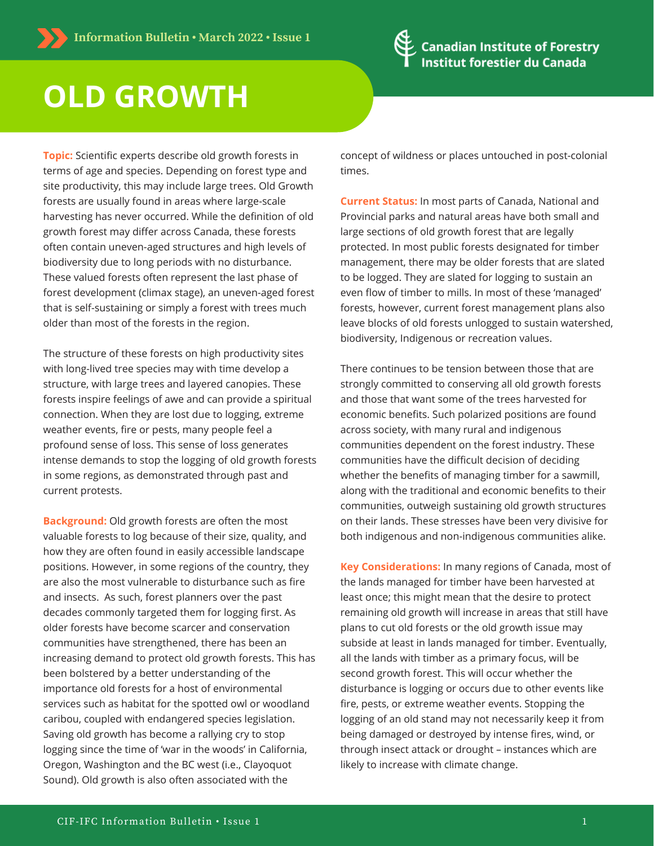

## **OLD GROWTH**

**Topic:** Scientific experts describe old growth forests in terms of age and species. Depending on forest type and site productivity, this may include large trees. Old Growth forests are usually found in areas where large-scale harvesting has never occurred. While the definition of old growth forest may differ across Canada, these forests often contain uneven-aged structures and high levels of biodiversity due to long periods with no disturbance. These valued forests often represent the last phase of forest development (climax stage), an uneven-aged forest that is self-sustaining or simply a forest with trees much older than most of the forests in the region.

The structure of these forests on high productivity sites with long-lived tree species may with time develop a structure, with large trees and layered canopies. These forests inspire feelings of awe and can provide a spiritual connection. When they are lost due to logging, extreme weather events, fire or pests, many people feel a profound sense of loss. This sense of loss generates intense demands to stop the logging of old growth forests in some regions, as demonstrated through past and current protests.

**Background:** Old growth forests are often the most valuable forests to log because of their size, quality, and how they are often found in easily accessible landscape positions. However, in some regions of the country, they are also the most vulnerable to disturbance such as fire and insects. As such, forest planners over the past decades commonly targeted them for logging first. As older forests have become scarcer and conservation communities have strengthened, there has been an increasing demand to protect old growth forests. This has been bolstered by a better understanding of the importance old forests for a host of environmental services such as habitat for the spotted owl or woodland caribou, coupled with endangered species legislation. Saving old growth has become a rallying cry to stop logging since the time of 'war in the woods' in California, Oregon, Washington and the BC west (i.e., Clayoquot Sound). Old growth is also often associated with the

concept of wildness or places untouched in post-colonial times.

**Current Status:** In most parts of Canada, National and Provincial parks and natural areas have both small and large sections of old growth forest that are legally protected. In most public forests designated for timber management, there may be older forests that are slated to be logged. They are slated for logging to sustain an even flow of timber to mills. In most of these 'managed' forests, however, current forest management plans also leave blocks of old forests unlogged to sustain watershed, biodiversity, Indigenous or recreation values.

There continues to be tension between those that are strongly committed to conserving all old growth forests and those that want some of the trees harvested for economic benefits. Such polarized positions are found across society, with many rural and indigenous communities dependent on the forest industry. These communities have the difficult decision of deciding whether the benefits of managing timber for a sawmill, along with the traditional and economic benefits to their communities, outweigh sustaining old growth structures on their lands. These stresses have been very divisive for both indigenous and non-indigenous communities alike.

**Key Considerations:** In many regions of Canada, most of the lands managed for timber have been harvested at least once; this might mean that the desire to protect remaining old growth will increase in areas that still have plans to cut old forests or the old growth issue may subside at least in lands managed for timber. Eventually, all the lands with timber as a primary focus, will be second growth forest. This will occur whether the disturbance is logging or occurs due to other events like fire, pests, or extreme weather events. Stopping the logging of an old stand may not necessarily keep it from being damaged or destroyed by intense fires, wind, or through insect attack or drought – instances which are likely to increase with climate change.